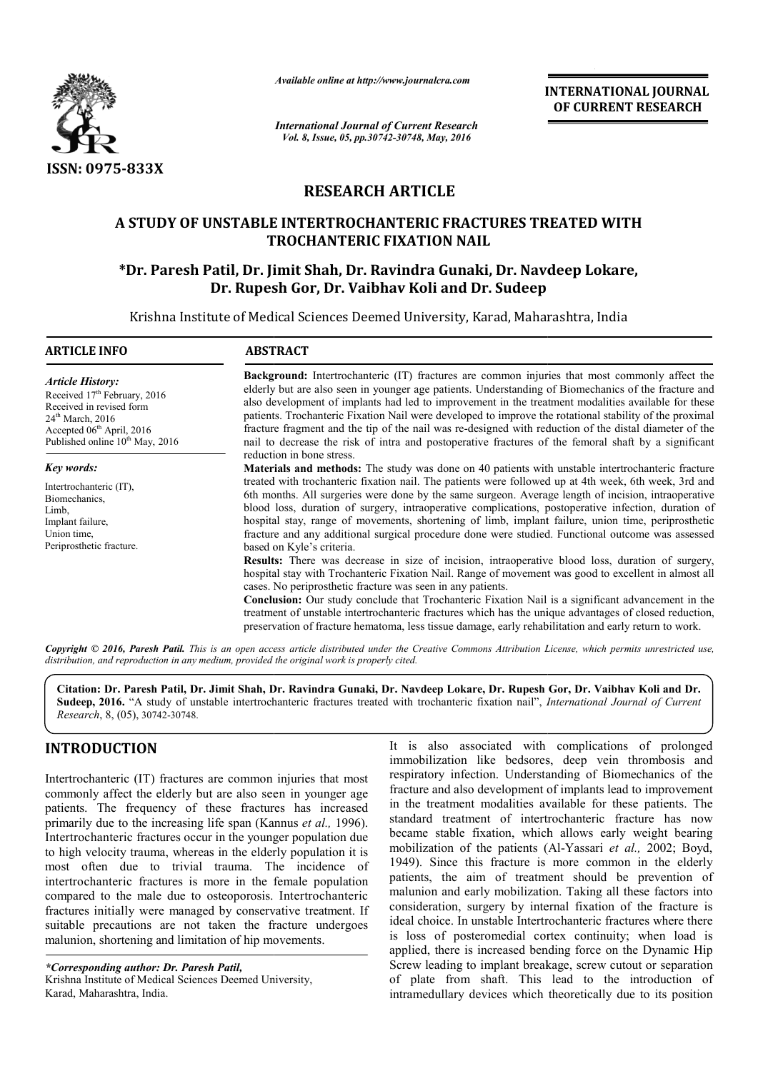

*Available online at http://www.journalcra.com*

# **RESEARCH ARTICLE**

# **A STUDY OF UNSTABLE INTERTROCHANTERIC FRACTURES TREATED WITH TROCHANTERIC FIXATION NAIL \*Dr. Paresh Patil, Dr. Jimit Shah, Dr Dr. Ravindra Gunaki, Dr. Navdeep Lokare, A INTERTROCHANTERIC FRACTURES Navdeep Lokare,**

# **Dr. Rupesh Gor, Dr Dr. Vaibhav Koli and Dr. Sudeep**

|                                                                                                                                                                                                                         |                                                                                                                                                                                                                                                                                                                                                                                                                                                                                                                                                                                                                                                                                                                                                                                                                                                                                                                                                                                                                                                                                                                                                                                                                                                                      | unuvic viime ui mip.//www.jvurnuicru.com<br><b>INTERNATIONAL JOURNAL</b><br>OF CURRENT RESEARCH                                                                                                                                                                                                                                                                                                                                                                                                                                                                                                                                                                                                                                                                                                                                                                                                                                                                                                                                                                                                                                                                  |
|-------------------------------------------------------------------------------------------------------------------------------------------------------------------------------------------------------------------------|----------------------------------------------------------------------------------------------------------------------------------------------------------------------------------------------------------------------------------------------------------------------------------------------------------------------------------------------------------------------------------------------------------------------------------------------------------------------------------------------------------------------------------------------------------------------------------------------------------------------------------------------------------------------------------------------------------------------------------------------------------------------------------------------------------------------------------------------------------------------------------------------------------------------------------------------------------------------------------------------------------------------------------------------------------------------------------------------------------------------------------------------------------------------------------------------------------------------------------------------------------------------|------------------------------------------------------------------------------------------------------------------------------------------------------------------------------------------------------------------------------------------------------------------------------------------------------------------------------------------------------------------------------------------------------------------------------------------------------------------------------------------------------------------------------------------------------------------------------------------------------------------------------------------------------------------------------------------------------------------------------------------------------------------------------------------------------------------------------------------------------------------------------------------------------------------------------------------------------------------------------------------------------------------------------------------------------------------------------------------------------------------------------------------------------------------|
|                                                                                                                                                                                                                         | <b>International Journal of Current Research</b><br>Vol. 8, Issue, 05, pp.30742-30748, May, 2016                                                                                                                                                                                                                                                                                                                                                                                                                                                                                                                                                                                                                                                                                                                                                                                                                                                                                                                                                                                                                                                                                                                                                                     |                                                                                                                                                                                                                                                                                                                                                                                                                                                                                                                                                                                                                                                                                                                                                                                                                                                                                                                                                                                                                                                                                                                                                                  |
| <b>ISSN: 0975-833X</b>                                                                                                                                                                                                  |                                                                                                                                                                                                                                                                                                                                                                                                                                                                                                                                                                                                                                                                                                                                                                                                                                                                                                                                                                                                                                                                                                                                                                                                                                                                      |                                                                                                                                                                                                                                                                                                                                                                                                                                                                                                                                                                                                                                                                                                                                                                                                                                                                                                                                                                                                                                                                                                                                                                  |
|                                                                                                                                                                                                                         |                                                                                                                                                                                                                                                                                                                                                                                                                                                                                                                                                                                                                                                                                                                                                                                                                                                                                                                                                                                                                                                                                                                                                                                                                                                                      | <b>RESEARCH ARTICLE</b>                                                                                                                                                                                                                                                                                                                                                                                                                                                                                                                                                                                                                                                                                                                                                                                                                                                                                                                                                                                                                                                                                                                                          |
|                                                                                                                                                                                                                         |                                                                                                                                                                                                                                                                                                                                                                                                                                                                                                                                                                                                                                                                                                                                                                                                                                                                                                                                                                                                                                                                                                                                                                                                                                                                      | A STUDY OF UNSTABLE INTERTROCHANTERIC FRACTURES TREATED WITH<br><b>TROCHANTERIC FIXATION NAIL</b>                                                                                                                                                                                                                                                                                                                                                                                                                                                                                                                                                                                                                                                                                                                                                                                                                                                                                                                                                                                                                                                                |
|                                                                                                                                                                                                                         |                                                                                                                                                                                                                                                                                                                                                                                                                                                                                                                                                                                                                                                                                                                                                                                                                                                                                                                                                                                                                                                                                                                                                                                                                                                                      | *Dr. Paresh Patil, Dr. Jimit Shah, Dr. Ravindra Gunaki, Dr. Navdeep Lokare,<br>Dr. Rupesh Gor, Dr. Vaibhav Koli and Dr. Sudeep                                                                                                                                                                                                                                                                                                                                                                                                                                                                                                                                                                                                                                                                                                                                                                                                                                                                                                                                                                                                                                   |
| <b>ARTICLE INFO</b>                                                                                                                                                                                                     | <b>ABSTRACT</b>                                                                                                                                                                                                                                                                                                                                                                                                                                                                                                                                                                                                                                                                                                                                                                                                                                                                                                                                                                                                                                                                                                                                                                                                                                                      | Krishna Institute of Medical Sciences Deemed University, Karad, Maharashtra, India                                                                                                                                                                                                                                                                                                                                                                                                                                                                                                                                                                                                                                                                                                                                                                                                                                                                                                                                                                                                                                                                               |
| <b>Article History:</b><br>Received 17 <sup>th</sup> February, 2016<br>Received in revised form<br>24 <sup>th</sup> March, 2016<br>Accepted 06 <sup>th</sup> April, 2016<br>Published online 10 <sup>th</sup> May, 2016 | Background: Intertrochanteric (IT) fractures are common injuries that most commonly affect the<br>elderly but are also seen in younger age patients. Understanding of Biomechanics of the fracture and<br>also development of implants had led to improvement in the treatment modalities available for these<br>patients. Trochanteric Fixation Nail were developed to improve the rotational stability of the proximal<br>fracture fragment and the tip of the nail was re-designed with reduction of the distal diameter of the<br>nail to decrease the risk of intra and postoperative fractures of the femoral shaft by a significant<br>reduction in bone stress.                                                                                                                                                                                                                                                                                                                                                                                                                                                                                                                                                                                              |                                                                                                                                                                                                                                                                                                                                                                                                                                                                                                                                                                                                                                                                                                                                                                                                                                                                                                                                                                                                                                                                                                                                                                  |
| Key words:<br>Intertrochanteric (IT),<br>Biomechanics,<br>Limb,<br>Implant failure,<br>Union time,<br>Periprosthetic fracture.                                                                                          | Materials and methods: The study was done on 40 patients with unstable intertrochanteric fracture<br>treated with trochanteric fixation nail. The patients were followed up at 4th week, 6th week, 3rd and<br>6th months. All surgeries were done by the same surgeon. Average length of incision, intraoperative<br>blood loss, duration of surgery, intraoperative complications, postoperative infection, duration of<br>hospital stay, range of movements, shortening of limb, implant failure, union time, periprosthetic<br>fracture and any additional surgical procedure done were studied. Functional outcome was assessed<br>based on Kyle's criteria.<br>Results: There was decrease in size of incision, intraoperative blood loss, duration of surgery,<br>hospital stay with Trochanteric Fixation Nail. Range of movement was good to excellent in almost all<br>cases. No periprosthetic fracture was seen in any patients.<br>Conclusion: Our study conclude that Trochanteric Fixation Nail is a significant advancement in the<br>treatment of unstable intertrochanteric fractures which has the unique advantages of closed reduction,<br>preservation of fracture hematoma, less tissue damage, early rehabilitation and early return to work. |                                                                                                                                                                                                                                                                                                                                                                                                                                                                                                                                                                                                                                                                                                                                                                                                                                                                                                                                                                                                                                                                                                                                                                  |
|                                                                                                                                                                                                                         | distribution, and reproduction in any medium, provided the original work is properly cited.                                                                                                                                                                                                                                                                                                                                                                                                                                                                                                                                                                                                                                                                                                                                                                                                                                                                                                                                                                                                                                                                                                                                                                          | Copyright © 2016, Paresh Patil. This is an open access article distributed under the Creative Commons Attribution License, which permits unrestricted use,                                                                                                                                                                                                                                                                                                                                                                                                                                                                                                                                                                                                                                                                                                                                                                                                                                                                                                                                                                                                       |
| Research, 8, (05), 30742-30748.                                                                                                                                                                                         |                                                                                                                                                                                                                                                                                                                                                                                                                                                                                                                                                                                                                                                                                                                                                                                                                                                                                                                                                                                                                                                                                                                                                                                                                                                                      | Citation: Dr. Paresh Patil, Dr. Jimit Shah, Dr. Ravindra Gunaki, Dr. Navdeep Lokare, Dr. Rupesh Gor, Dr. Vaibhav Koli and Dr.<br>Sudeep, 2016. "A study of unstable intertrochanteric fractures treated with trochanteric fixation nail", International Journal of Current                                                                                                                                                                                                                                                                                                                                                                                                                                                                                                                                                                                                                                                                                                                                                                                                                                                                                       |
| <b>INTRODUCTION</b><br>malunion, shortening and limitation of hip movements.<br>*Corresponding author: Dr. Paresh Patil,<br>Krishna Institute of Medical Sciences Deemed University,<br>Karad, Maharashtra, India.      | Intertrochanteric (IT) fractures are common injuries that most<br>commonly affect the elderly but are also seen in younger age<br>patients. The frequency of these fractures has increased<br>primarily due to the increasing life span (Kannus et al., 1996).<br>Intertrochanteric fractures occur in the younger population due<br>to high velocity trauma, whereas in the elderly population it is<br>most often due to trivial trauma. The incidence of<br>intertrochanteric fractures is more in the female population<br>compared to the male due to osteoporosis. Intertrochanteric<br>fractures initially were managed by conservative treatment. If<br>suitable precautions are not taken the fracture undergoes                                                                                                                                                                                                                                                                                                                                                                                                                                                                                                                                            | It is also associated with complications of prolonged<br>immobilization like bedsores, deep vein thrombosis and<br>respiratory infection. Understanding of Biomechanics of the<br>fracture and also development of implants lead to improvement<br>in the treatment modalities available for these patients. The<br>standard treatment of intertrochanteric fracture has now<br>became stable fixation, which allows early weight bearing<br>mobilization of the patients (Al-Yassari et al., 2002; Boyd,<br>1949). Since this fracture is more common in the elderly<br>patients, the aim of treatment should be prevention of<br>malunion and early mobilization. Taking all these factors into<br>consideration, surgery by internal fixation of the fracture is<br>ideal choice. In unstable Intertrochanteric fractures where there<br>is loss of posteromedial cortex continuity; when load is<br>applied, there is increased bending force on the Dynamic Hip<br>Screw leading to implant breakage, screw cutout or separation<br>of plate from shaft. This lead to the introduction of<br>intramedullary devices which theoretically due to its position |

## **INTRODUCTION**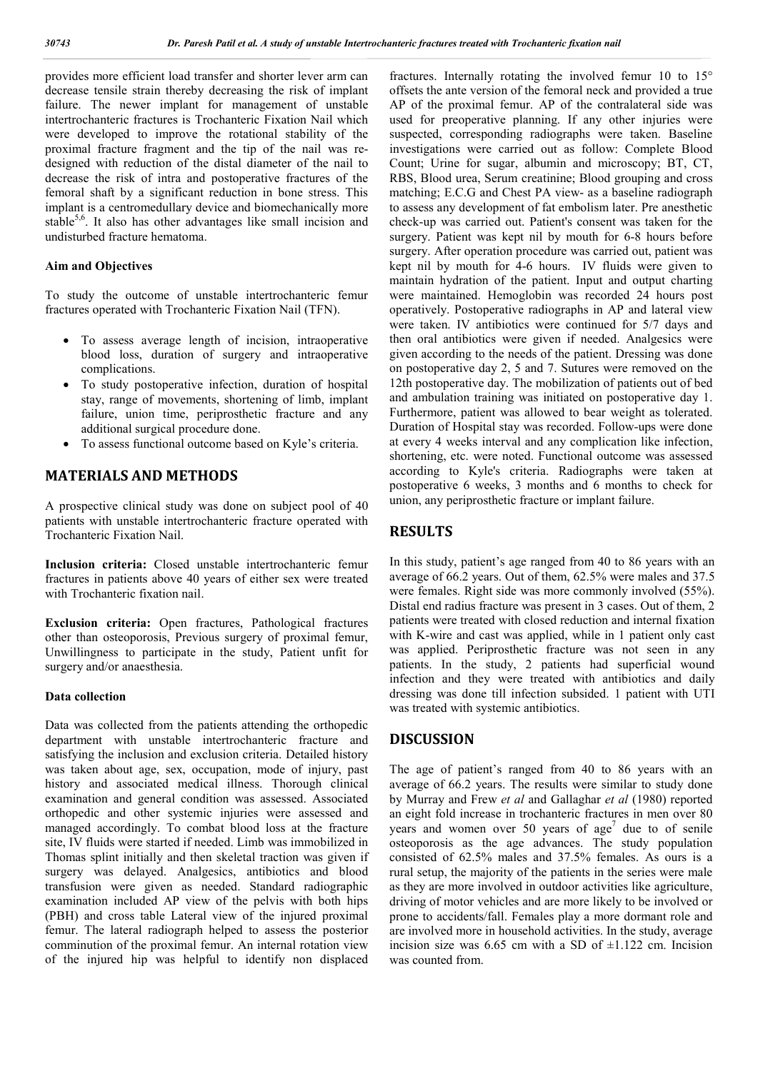provides more efficient load transfer and shorter lever arm can decrease tensile strain thereby decreasing the risk of implant failure. The newer implant for management of unstable intertrochanteric fractures is Trochanteric Fixation Nail which were developed to improve the rotational stability of the proximal fracture fragment and the tip of the nail was redesigned with reduction of the distal diameter of the nail to decrease the risk of intra and postoperative fractures of the femoral shaft by a significant reduction in bone stress. This implant is a centromedullary device and biomechanically more stable<sup>5,6</sup>. It also has other advantages like small incision and undisturbed fracture hematoma.

#### **Aim and Objectives**

To study the outcome of unstable intertrochanteric femur fractures operated with Trochanteric Fixation Nail (TFN).

- To assess average length of incision, intraoperative blood loss, duration of surgery and intraoperative complications.
- To study postoperative infection, duration of hospital stay, range of movements, shortening of limb, implant failure, union time, periprosthetic fracture and any additional surgical procedure done.
- To assess functional outcome based on Kyle's criteria.

## **MATERIALS AND METHODS**

A prospective clinical study was done on subject pool of 40 patients with unstable intertrochanteric fracture operated with Trochanteric Fixation Nail.

**Inclusion criteria:** Closed unstable intertrochanteric femur fractures in patients above 40 years of either sex were treated with Trochanteric fixation nail.

**Exclusion criteria:** Open fractures, Pathological fractures other than osteoporosis, Previous surgery of proximal femur, Unwillingness to participate in the study, Patient unfit for surgery and/or anaesthesia.

#### **Data collection**

Data was collected from the patients attending the orthopedic department with unstable intertrochanteric fracture and satisfying the inclusion and exclusion criteria. Detailed history was taken about age, sex, occupation, mode of injury, past history and associated medical illness. Thorough clinical examination and general condition was assessed. Associated orthopedic and other systemic injuries were assessed and managed accordingly. To combat blood loss at the fracture site, IV fluids were started if needed. Limb was immobilized in Thomas splint initially and then skeletal traction was given if surgery was delayed. Analgesics, antibiotics and blood transfusion were given as needed. Standard radiographic examination included AP view of the pelvis with both hips (PBH) and cross table Lateral view of the injured proximal femur. The lateral radiograph helped to assess the posterior comminution of the proximal femur. An internal rotation view of the injured hip was helpful to identify non displaced fractures. Internally rotating the involved femur 10 to 15° offsets the ante version of the femoral neck and provided a true AP of the proximal femur. AP of the contralateral side was used for preoperative planning. If any other injuries were suspected, corresponding radiographs were taken. Baseline investigations were carried out as follow: Complete Blood Count; Urine for sugar, albumin and microscopy; BT, CT, RBS, Blood urea, Serum creatinine; Blood grouping and cross matching; E.C.G and Chest PA view- as a baseline radiograph to assess any development of fat embolism later. Pre anesthetic check-up was carried out. Patient's consent was taken for the surgery. Patient was kept nil by mouth for 6-8 hours before surgery. After operation procedure was carried out, patient was kept nil by mouth for 4-6 hours. IV fluids were given to maintain hydration of the patient. Input and output charting were maintained. Hemoglobin was recorded 24 hours post operatively. Postoperative radiographs in AP and lateral view were taken. IV antibiotics were continued for 5/7 days and then oral antibiotics were given if needed. Analgesics were given according to the needs of the patient. Dressing was done on postoperative day 2, 5 and 7. Sutures were removed on the 12th postoperative day. The mobilization of patients out of bed and ambulation training was initiated on postoperative day 1. Furthermore, patient was allowed to bear weight as tolerated. Duration of Hospital stay was recorded. Follow-ups were done at every 4 weeks interval and any complication like infection, shortening, etc. were noted. Functional outcome was assessed according to Kyle's criteria. Radiographs were taken at postoperative 6 weeks, 3 months and 6 months to check for union, any periprosthetic fracture or implant failure.

#### **RESULTS**

In this study, patient's age ranged from 40 to 86 years with an average of 66.2 years. Out of them, 62.5% were males and 37.5 were females. Right side was more commonly involved (55%). Distal end radius fracture was present in 3 cases. Out of them, 2 patients were treated with closed reduction and internal fixation with K-wire and cast was applied, while in 1 patient only cast was applied. Periprosthetic fracture was not seen in any patients. In the study, 2 patients had superficial wound infection and they were treated with antibiotics and daily dressing was done till infection subsided. 1 patient with UTI was treated with systemic antibiotics.

### **DISCUSSION**

The age of patient's ranged from 40 to 86 years with an average of 66.2 years. The results were similar to study done by Murray and Frew *et al* and Gallaghar *et al* (1980) reported an eight fold increase in trochanteric fractures in men over 80 years and women over 50 years of  $age<sup>7</sup>$  due to of senile osteoporosis as the age advances. The study population consisted of 62.5% males and 37.5% females. As ours is a rural setup, the majority of the patients in the series were male as they are more involved in outdoor activities like agriculture, driving of motor vehicles and are more likely to be involved or prone to accidents/fall. Females play a more dormant role and are involved more in household activities. In the study, average incision size was 6.65 cm with a SD of  $\pm 1.122$  cm. Incision was counted from.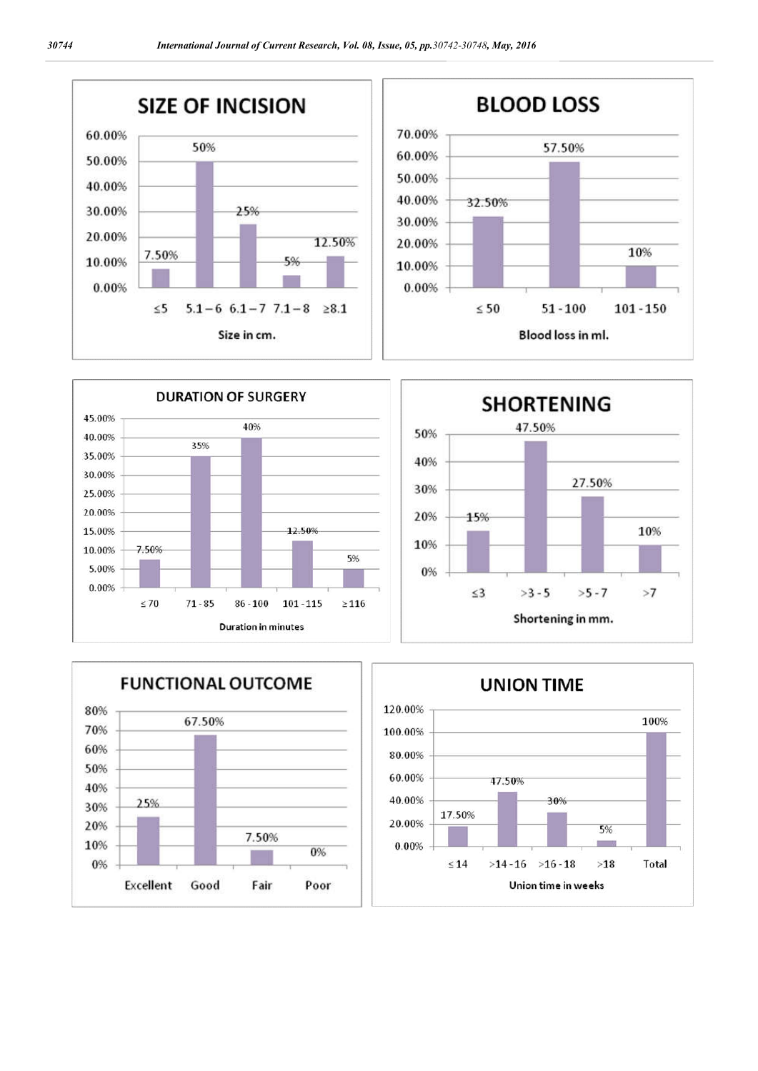







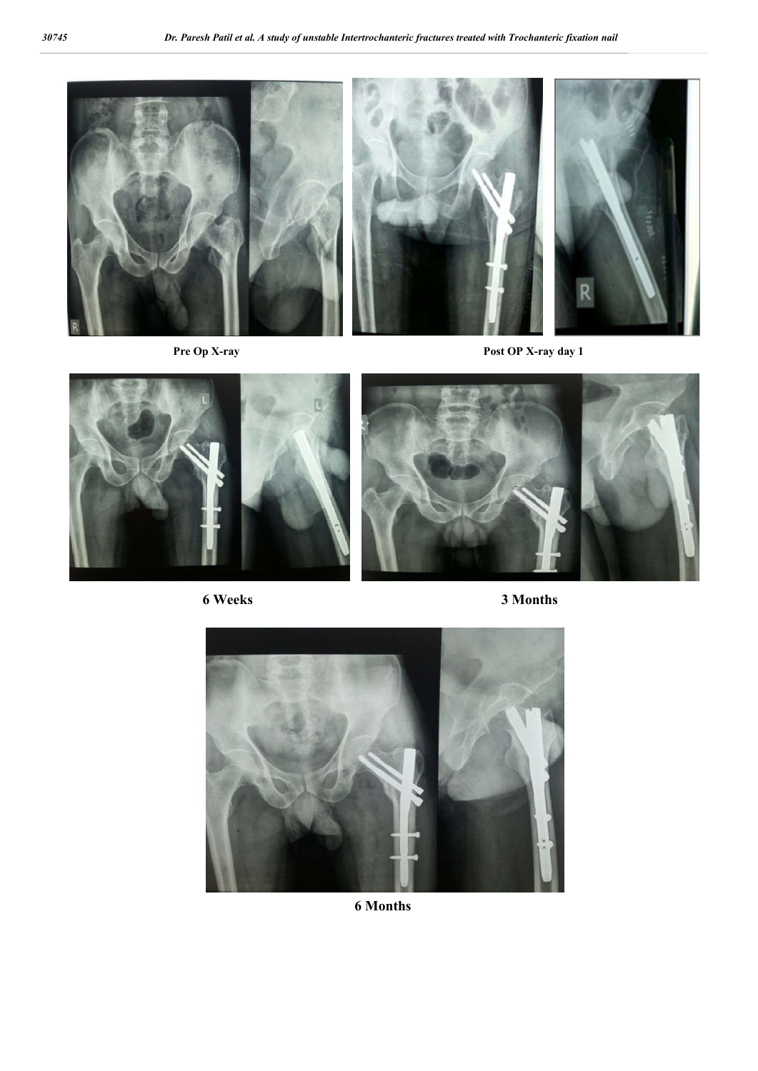







**6 Months**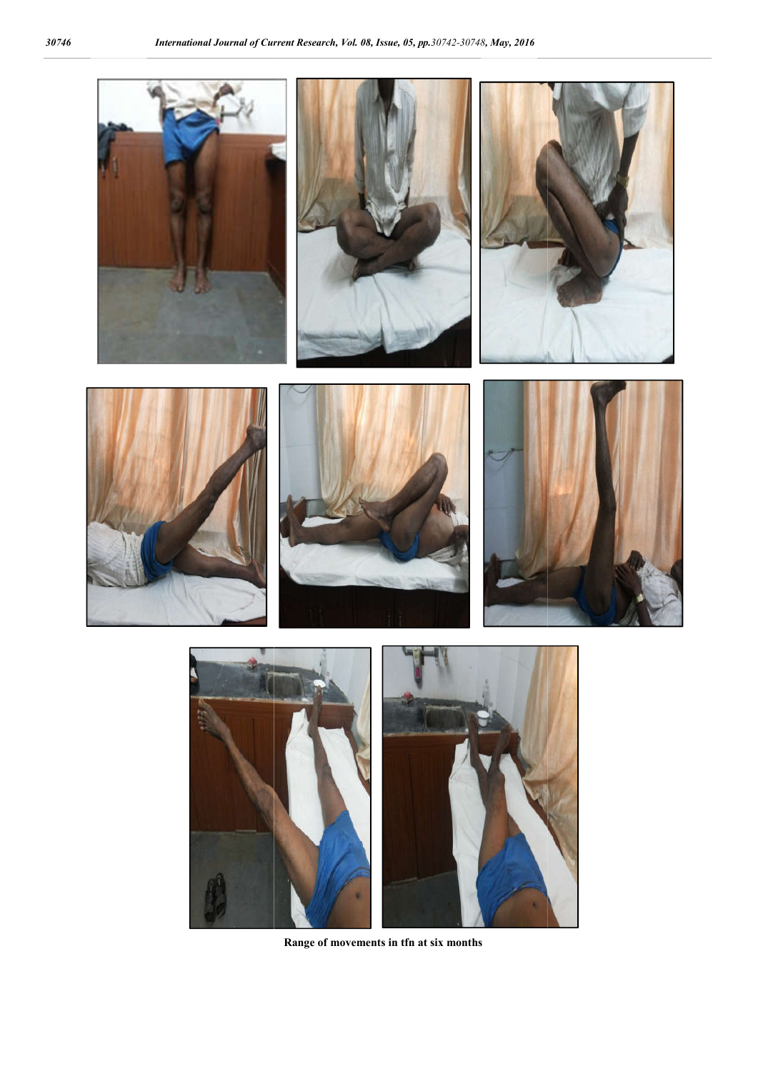

**Range of movements in tfn at six months**